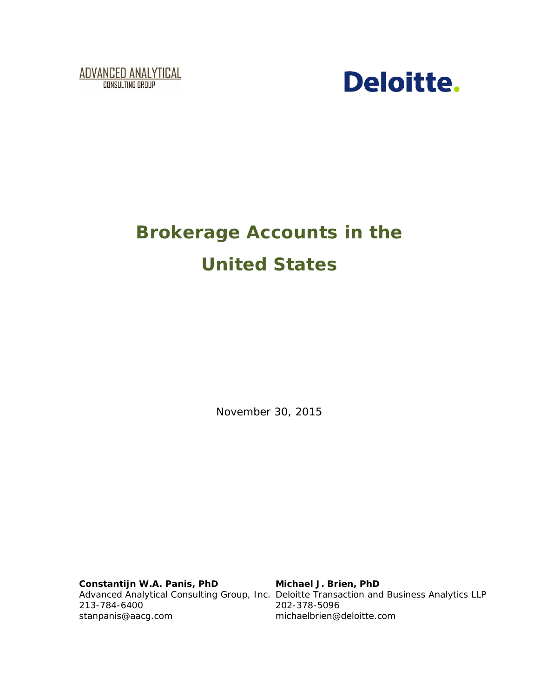



# **Brokerage Accounts in the United States**

November 30, 2015

**Constantijn W.A. Panis, PhD** 213-784-6400 [stanpanis@aacg.com](mailto:stanpanis@aacg.com)

Advanced Analytical Consulting Group, Inc. Deloitte Transaction and Business Analytics LLP **Michael J. Brien, PhD** 202-378-5096 michaelbrien@deloitte.com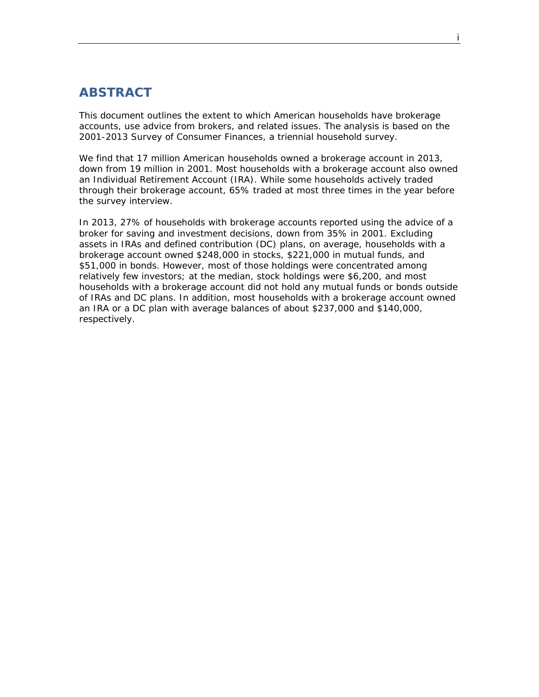## <span id="page-1-0"></span>**ABSTRACT**

This document outlines the extent to which American households have brokerage accounts, use advice from brokers, and related issues. The analysis is based on the 2001-2013 Survey of Consumer Finances, a triennial household survey.

We find that 17 million American households owned a brokerage account in 2013, down from 19 million in 2001. Most households with a brokerage account also owned an Individual Retirement Account (IRA). While some households actively traded through their brokerage account, 65% traded at most three times in the year before the survey interview.

In 2013, 27% of households with brokerage accounts reported using the advice of a broker for saving and investment decisions, down from 35% in 2001. Excluding assets in IRAs and defined contribution (DC) plans, on average, households with a brokerage account owned \$248,000 in stocks, \$221,000 in mutual funds, and \$51,000 in bonds. However, most of those holdings were concentrated among relatively few investors; at the median, stock holdings were \$6,200, and most households with a brokerage account did not hold any mutual funds or bonds outside of IRAs and DC plans. In addition, most households with a brokerage account owned an IRA or a DC plan with average balances of about \$237,000 and \$140,000, respectively.

i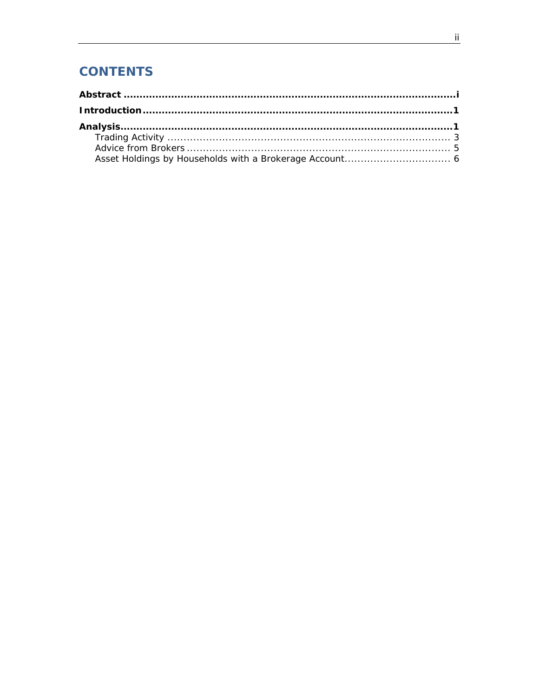# **CONTENTS**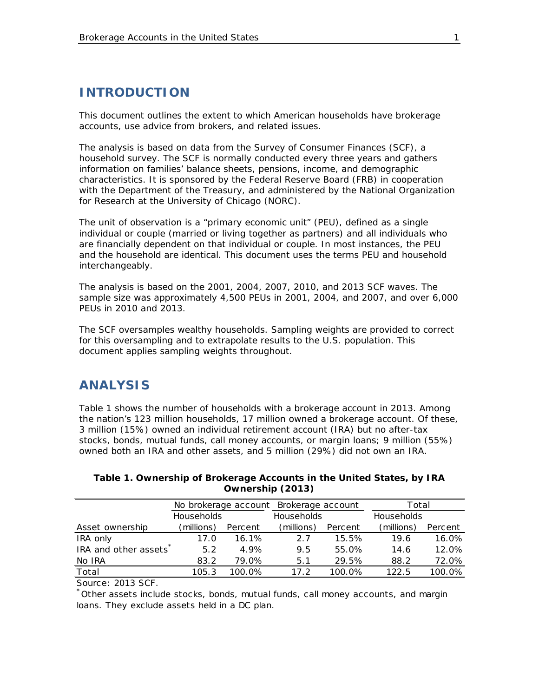## <span id="page-3-0"></span>**INTRODUCTION**

This document outlines the extent to which American households have brokerage accounts, use advice from brokers, and related issues.

The analysis is based on data from the Survey of Consumer Finances (SCF), a household survey. The SCF is normally conducted every three years and gathers information on families' balance sheets, pensions, income, and demographic characteristics. It is sponsored by the Federal Reserve Board (FRB) in cooperation with the Department of the Treasury, and administered by the National Organization for Research at the University of Chicago (NORC).

The unit of observation is a "primary economic unit" (PEU), defined as a single individual or couple (married or living together as partners) and all individuals who are financially dependent on that individual or couple. In most instances, the PEU and the household are identical. This document uses the terms PEU and household interchangeably.

The analysis is based on the 2001, 2004, 2007, 2010, and 2013 SCF waves. The sample size was approximately 4,500 PEUs in 2001, 2004, and 2007, and over 6,000 PEUs in 2010 and 2013.

The SCF oversamples wealthy households. Sampling weights are provided to correct for this oversampling and to extrapolate results to the U.S. population. This document applies sampling weights throughout.

#### <span id="page-3-1"></span>**ANALYSIS**

[Table 1](#page-3-2) shows the number of households with a brokerage account in 2013. Among the nation's 123 million households, 17 million owned a brokerage account. Of these, 3 million (15%) owned an individual retirement account (IRA) but no after-tax stocks, bonds, mutual funds, call money accounts, or margin loans; 9 million (55%) owned both an IRA and other assets, and 5 million (29%) did not own an IRA.

| Total             |  |  |
|-------------------|--|--|
| <b>Households</b> |  |  |
| Percent           |  |  |
| 16.0%             |  |  |
| 12.0%             |  |  |
| 72.0%             |  |  |
| 100.0%            |  |  |
|                   |  |  |

<span id="page-3-2"></span>

| Table 1. Ownership of Brokerage Accounts in the United States, by IRA |
|-----------------------------------------------------------------------|
| Ownership (2013)                                                      |

Source: 2013 SCF.

 $\check{ }$  Other assets include stocks, bonds, mutual funds, call money accounts, and margin loans. They exclude assets held in a DC plan.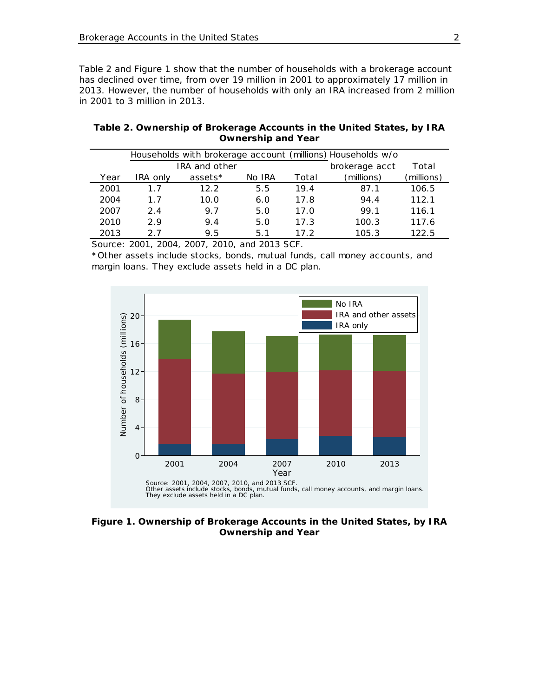[Table 2](#page-4-0) and [Figure 1](#page-4-1) show that the number of households with a brokerage account has declined over time, from over 19 million in 2001 to approximately 17 million in 2013. However, the number of households with only an IRA increased from 2 million in 2001 to 3 million in 2013.

| Households with brokerage account (millions) Households w/o |          |               |        |       |                |            |  |  |
|-------------------------------------------------------------|----------|---------------|--------|-------|----------------|------------|--|--|
|                                                             |          | IRA and other |        |       | brokerage acct | Total      |  |  |
| Year                                                        | IRA only | assets*       | No IRA | Total | (millions)     | (millions) |  |  |
| 2001                                                        | 1.7      | 12.2          | 5.5    | 19.4  | 87.1           | 106.5      |  |  |
| 2004                                                        | 1.7      | 10.0          | 6.0    | 17.8  | 94.4           | 112.1      |  |  |
| 2007                                                        | 2.4      | 9.7           | 5.0    | 17.0  | 99.1           | 116.1      |  |  |
| 2010                                                        | 2.9      | 9.4           | 5.0    | 17.3  | 100.3          | 117.6      |  |  |
| 2013                                                        | 27       | 9.5           | 5.1    | 17.2  | 105.3          | 122.5      |  |  |

<span id="page-4-0"></span>**Table 2. Ownership of Brokerage Accounts in the United States, by IRA Ownership and Year**

Source: 2001, 2004, 2007, 2010, and 2013 SCF.

\*Other assets include stocks, bonds, mutual funds, call money accounts, and margin loans. They exclude assets held in a DC plan.



<span id="page-4-1"></span>**Figure 1. Ownership of Brokerage Accounts in the United States, by IRA Ownership and Year**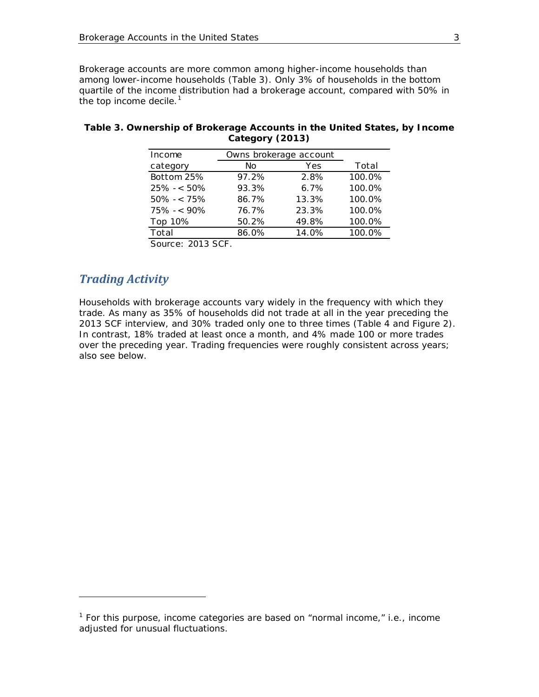Brokerage accounts are more common among higher-income households than among lower-income households [\(Table 3\)](#page-5-1). Only 3% of households in the bottom quartile of the income distribution had a brokerage account, compared with 50% in the top income decile. $<sup>1</sup>$  $<sup>1</sup>$  $<sup>1</sup>$ </sup>

| Income                                | Owns brokerage account |       |        |
|---------------------------------------|------------------------|-------|--------|
| category                              | No                     | Yes   | Total  |
| Bottom 25%                            | 97.2%                  | 2.8%  | 100.0% |
| $25\% - 50\%$                         | 93.3%                  | 6.7%  | 100.0% |
| $50\% - 75\%$                         | 86.7%                  | 13.3% | 100.0% |
| $75\% - 90\%$                         | 76.7%                  | 23.3% | 100.0% |
| Top 10%                               | 50.2%                  | 49.8% | 100.0% |
| Total                                 | 86.0%                  | 14.0% | 100.0% |
| $\sim$ $\sim$<br>$\sim$ $\sim$ $\sim$ |                        |       |        |

#### <span id="page-5-1"></span>**Table 3. Ownership of Brokerage Accounts in the United States, by Income Category (2013)**

Source: 2013 SCF.

#### <span id="page-5-0"></span>*Trading Activity*

i,

Households with brokerage accounts vary widely in the frequency with which they trade. As many as 35% of households did not trade at all in the year preceding the 2013 SCF interview, and 30% traded only one to three times [\(Table 4](#page-6-0) and [Figure 2\)](#page-6-1). In contrast, 18% traded at least once a month, and 4% made 100 or more trades over the preceding year. Trading frequencies were roughly consistent across years; also see below.

<span id="page-5-2"></span> $1$  For this purpose, income categories are based on "normal income," i.e., income adjusted for unusual fluctuations.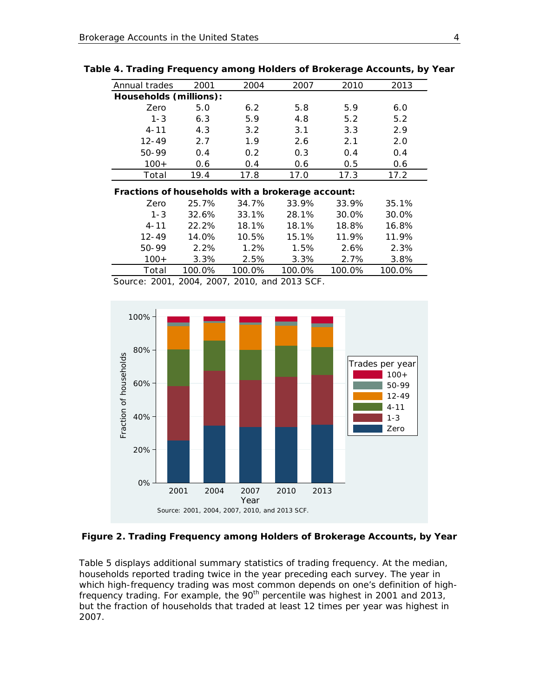| Annual trades                                     | 2001  | 2004  | 2007   | 2010   | 2013   |  |  |  |  |
|---------------------------------------------------|-------|-------|--------|--------|--------|--|--|--|--|
| Households (millions):                            |       |       |        |        |        |  |  |  |  |
| Zero                                              | 5.0   | 6.2   | 5.8    | 5.9    | 6.0    |  |  |  |  |
| $1 - 3$                                           | 6.3   | 5.9   | 4.8    | 5.2    | 5.2    |  |  |  |  |
| $4 - 11$                                          | 4.3   | 3.2   | 3.1    | 3.3    | 2.9    |  |  |  |  |
| $12 - 49$                                         | 2.7   | 1.9   | 2.6    | 2.1    | 2.0    |  |  |  |  |
| 50-99                                             | 0.4   | 0.2   | 0.3    | 0.4    | 0.4    |  |  |  |  |
| $100+$                                            | 0.6   | 0.4   | 0.6    | 0.5    | 0.6    |  |  |  |  |
| Total                                             | 19.4  | 17.8  | 17.0   | 17.3   | 17.2   |  |  |  |  |
| Fractions of households with a brokerage account: |       |       |        |        |        |  |  |  |  |
| Zero                                              | 25.7% | 34.7% | 33.9%  | 33.9%  | 35.1%  |  |  |  |  |
| 1 0                                               | 22.72 | 22.30 | 20.101 | 20.001 | 20.001 |  |  |  |  |

<span id="page-6-0"></span>

|  | Table 4. Trading Frequency among Holders of Brokerage Accounts, by Year |  |  |
|--|-------------------------------------------------------------------------|--|--|
|  |                                                                         |  |  |

| . . actions of howoonolas think a shortchage accounti |        |        |        |        |        |
|-------------------------------------------------------|--------|--------|--------|--------|--------|
| Zero                                                  | 25.7%  | 34.7%  | 33.9%  | 33.9%  | 35.1%  |
| $1 - 3$                                               | 32.6%  | 33.1%  | 28.1%  | 30.0%  | 30.0%  |
| $4 - 11$                                              | 22.2%  | 18.1%  | 18.1%  | 18.8%  | 16.8%  |
| $12 - 49$                                             | 14.0%  | 10.5%  | 15.1%  | 11.9%  | 11.9%  |
| 50-99                                                 | 2.2%   | 1.2%   | 1.5%   | 2.6%   | 2.3%   |
| $100+$                                                | 3.3%   | 2.5%   | 3.3%   | 2.7%   | 3.8%   |
| Total                                                 | 100.0% | 100.0% | 100.0% | 100.0% | 100.0% |

Source: 2001, 2004, 2007, 2010, and 2013 SCF.



#### <span id="page-6-1"></span>**Figure 2. Trading Frequency among Holders of Brokerage Accounts, by Year**

[Table 5](#page-7-1) displays additional summary statistics of trading frequency. At the median, households reported trading twice in the year preceding each survey. The year in which high-frequency trading was most common depends on one's definition of highfrequency trading. For example, the 90th percentile was highest in 2001 and 2013, but the fraction of households that traded at least 12 times per year was highest in 2007.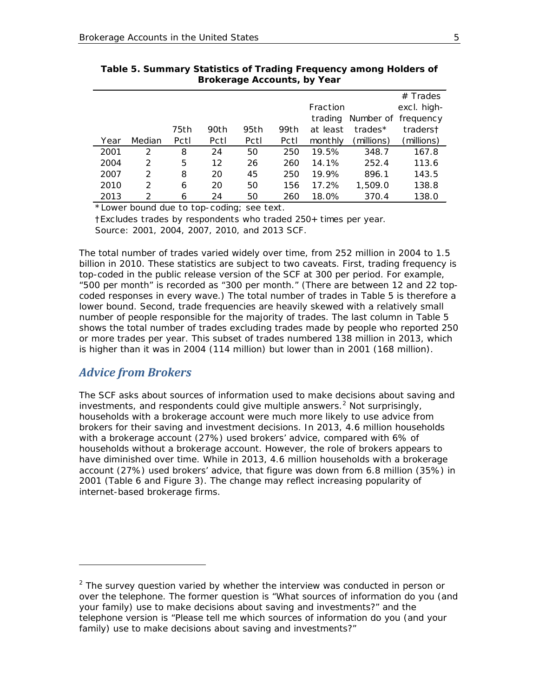|      |        |      |      |      |      |          |                     | $#$ Trades  |
|------|--------|------|------|------|------|----------|---------------------|-------------|
|      |        |      |      |      |      | Fraction |                     | excl. high- |
|      |        |      |      |      |      | trading  | Number of frequency |             |
|      |        | 75th | 90th | 95th | 99th | at least | trades*             | traderst    |
| Year | Median | Pctl | Pctl | Pctl | Pctl | monthly  | (millions)          | (millions)  |
| 2001 | 2      | 8    | 24   | 50   | 250  | 19.5%    | 348.7               | 167.8       |
| 2004 | 2      | 5    | 12   | 26   | 260  | 14.1%    | 252.4               | 113.6       |
| 2007 | 2      | 8    | 20   | 45   | 250  | 19.9%    | 896.1               | 143.5       |
| 2010 | 2      | 6    | 20   | 50   | 156  | 17.2%    | 1,509.0             | 138.8       |
| 2013 | 2      | 6    | 24   | 50   | 260  | 18.0%    | 370.4               | 138.0       |

<span id="page-7-1"></span>**Table 5. Summary Statistics of Trading Frequency among Holders of Brokerage Accounts, by Year**

\*Lower bound due to top-coding; see text.

†Excludes trades by respondents who traded 250+ times per year. Source: 2001, 2004, 2007, 2010, and 2013 SCF.

The total number of trades varied widely over time, from 252 million in 2004 to 1.5 billion in 2010. These statistics are subject to two caveats. First, trading frequency is top-coded in the public release version of the SCF at 300 per period. For example, "500 per month" is recorded as "300 per month." (There are between 12 and 22 topcoded responses in every wave.) The total number of trades in [Table 5](#page-7-1) is therefore a lower bound. Second, trade frequencies are heavily skewed with a relatively small number of people responsible for the majority of trades. The last column in [Table 5](#page-7-1) shows the total number of trades excluding trades made by people who reported 250 or more trades per year. This subset of trades numbered 138 million in 2013, which is higher than it was in 2004 (114 million) but lower than in 2001 (168 million).

#### <span id="page-7-0"></span>*Advice from Brokers*

l

The SCF asks about sources of information used to make decisions about saving and investments, and respondents could give multiple answers.<sup>[2](#page-7-2)</sup> Not surprisingly, 2001 ([Table](#page-8-1) 6 and [Figure 3\)](#page-8-2). The change may reflect increasing popularity of households with a brokerage account were much more likely to use advice from brokers for their saving and investment decisions. In 2013, 4.6 million households with a brokerage account (27%) used brokers' advice, compared with 6% of households without a brokerage account. However, the role of brokers appears to have diminished over time. While in 2013, 4.6 million households with a brokerage account (27%) used brokers' advice, that figure was down from 6.8 million (35%) in internet-based brokerage firms.

<span id="page-7-2"></span> $2$  The survey question varied by whether the interview was conducted in person or over the telephone. The former question is "What sources of information do you (and your family) use to make decisions about saving and investments?" and the telephone version is "Please tell me which sources of information do you (and your family) use to make decisions about saving and investments?"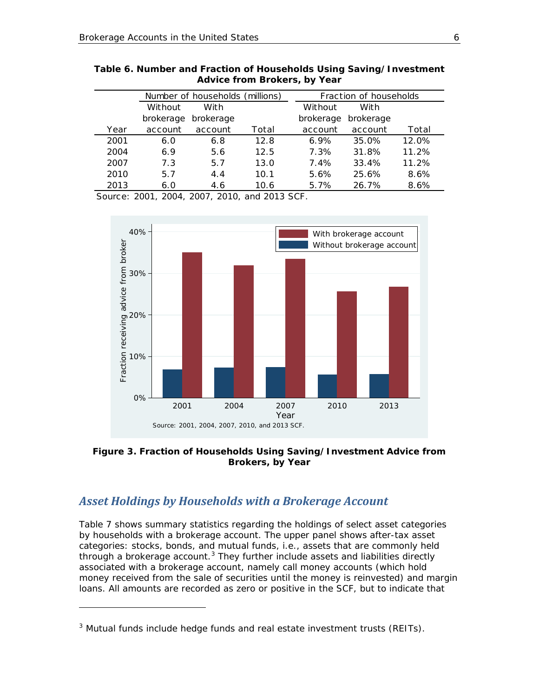|      |           | Number of households (millions) |       |           | Fraction of households |       |
|------|-----------|---------------------------------|-------|-----------|------------------------|-------|
|      | Without   | With                            |       | Without   | With                   |       |
|      | brokerage | brokerage                       |       | brokerage | brokerage              |       |
| Year | account   | account                         | Total | account   | account                | Total |
| 2001 | 6.0       | 6.8                             | 12.8  | $6.9\%$   | 35.0%                  | 12.0% |
| 2004 | 6.9       | 5.6                             | 12.5  | 7.3%      | 31.8%                  | 11.2% |
| 2007 | 7.3       | 5.7                             | 13.0  | 7.4%      | 33.4%                  | 11.2% |
| 2010 | 5.7       | 4.4                             | 10.1  | 5.6%      | 25.6%                  | 8.6%  |
| 2013 | 6.0       | 4.6                             | 10.6  | 5.7%      | 26.7%                  | 8.6%  |

<span id="page-8-1"></span>

| Table 6. Number and Fraction of Households Using Saving/Investment |
|--------------------------------------------------------------------|
| Advice from Brokers, by Year                                       |

Source: 2001, 2004, 2007, 2010, and 2013 SCF.



<span id="page-8-2"></span>**Figure 3. Fraction of Households Using Saving/Investment Advice from Brokers, by Year**

#### <span id="page-8-0"></span>*Asset Holdings by Households with a Brokerage Account*

i,

[Table 7](#page-9-0) shows summary statistics regarding the holdings of select asset categories by households with a brokerage account. The upper panel shows after-tax asset categories: stocks, bonds, and mutual funds, i.e., assets that are commonly held through a brokerage account.<sup>[3](#page-8-3)</sup> They further include assets and liabilities directly associated with a brokerage account, namely call money accounts (which hold money received from the sale of securities until the money is reinvested) and margin loans. All amounts are recorded as zero or positive in the SCF, but to indicate that

<span id="page-8-3"></span> $3$  Mutual funds include hedge funds and real estate investment trusts (REITs).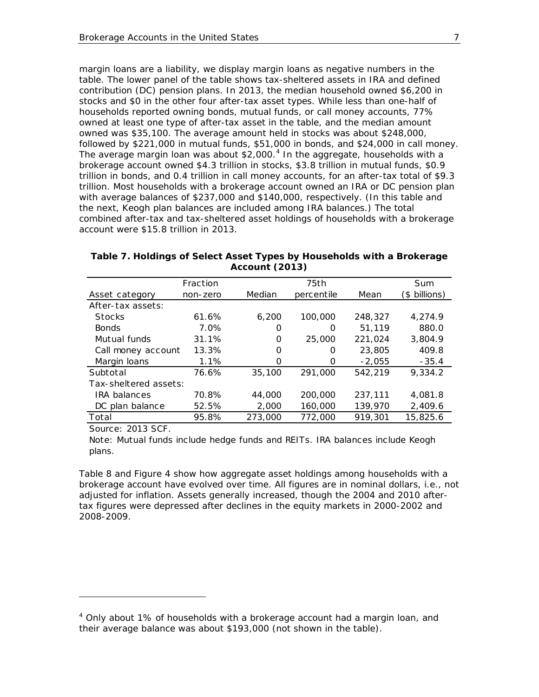margin loans are a liability, we display margin loans as negative numbers in the table. The lower panel of the table shows tax-sheltered assets in IRA and defined contribution (DC) pension plans. In 2013, the median household owned \$6,200 in stocks and \$0 in the other four after-tax asset types. While less than one-half of households reported owning bonds, mutual funds, or call money accounts, 77% owned at least one type of after-tax asset in the table, and the median amount owned was \$35,100. The average amount held in stocks was about \$248,000, followed by \$221,000 in mutual funds, \$51,000 in bonds, and \$24,000 in call money. The average margin loan was about  $$2,000<sup>4</sup>$  $$2,000<sup>4</sup>$  $$2,000<sup>4</sup>$  In the aggregate, households with a brokerage account owned \$4.3 trillion in stocks, \$3.8 trillion in mutual funds, \$0.9 trillion in bonds, and 0.4 trillion in call money accounts, for an after-tax total of \$9.3 trillion. Most households with a brokerage account owned an IRA or DC pension plan with average balances of \$237,000 and \$140,000, respectively. (In this table and the next, Keogh plan balances are included among IRA balances.) The total combined after-tax and tax-sheltered asset holdings of households with a brokerage account were \$15.8 trillion in 2013.

|                       | Fraction |         | 75th       |          | <b>Sum</b>    |
|-----------------------|----------|---------|------------|----------|---------------|
| Asset category        | non-zero | Median  | percentile | Mean     | (\$ billions) |
| After-tax assets:     |          |         |            |          |               |
| <b>Stocks</b>         | 61.6%    | 6.200   | 100,000    | 248,327  | 4.274.9       |
| <b>Bonds</b>          | 7.0%     | 0       | O          | 51,119   | 880.0         |
| Mutual funds          | 31.1%    | 0       | 25,000     | 221.024  | 3.804.9       |
| Call money account    | 13.3%    | 0       | Ω          | 23,805   | 409.8         |
| Margin loans          | 1.1%     | O       | O          | $-2,055$ | $-35.4$       |
| Subtotal              | 76.6%    | 35,100  | 291,000    | 542,219  | 9,334.2       |
| Tax-sheltered assets: |          |         |            |          |               |
| <b>IRA</b> balances   | 70.8%    | 44,000  | 200,000    | 237.111  | 4,081.8       |
| DC plan balance       | 52.5%    | 2,000   | 160,000    | 139,970  | 2,409.6       |
| Total                 | 95.8%    | 273,000 | 772,000    | 919,301  | 15,825.6      |

<span id="page-9-0"></span>**Table 7. Holdings of Select Asset Types by Households with a Brokerage Account (2013)**

Source: 2013 SCF.

i,

Note: Mutual funds include hedge funds and REITs. IRA balances include Keogh plans.

[Table 8](#page-10-0) and [Figure 4](#page-10-1) show how aggregate asset holdings among households with a brokerage account have evolved over time. All figures are in nominal dollars, i.e., not adjusted for inflation. Assets generally increased, though the 2004 and 2010 aftertax figures were depressed after declines in the equity markets in 2000-2002 and 2008-2009.

<span id="page-9-1"></span><sup>&</sup>lt;sup>4</sup> Only about 1% of households with a brokerage account had a margin loan, and their average balance was about \$193,000 (not shown in the table).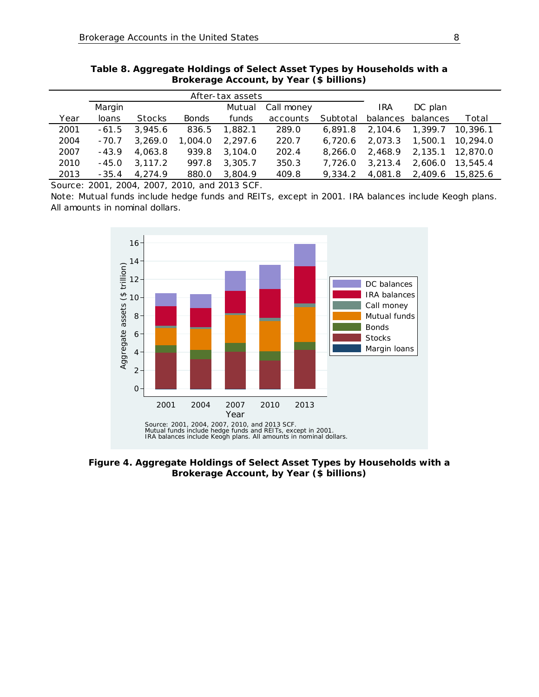|      | After-tax assets |               |              |         |            |          |            |          |          |
|------|------------------|---------------|--------------|---------|------------|----------|------------|----------|----------|
|      | Margin           |               |              | Mutual  | Call money |          | <b>IRA</b> | DC plan  |          |
| Year | loans            | <b>Stocks</b> | <b>Bonds</b> | funds   | accounts   | Subtotal | balances   | balances | Total    |
| 2001 | $-61.5$          | 3,945.6       | 836.5        | 1.882.1 | 289.0      | 6.891.8  | 2.104.6    | 1,399.7  | 10.396.1 |
| 2004 | $-70.7$          | 3.269.0       | 1,004.0      | 2.297.6 | 220.7      | 6,720.6  | 2.073.3    | 1,500.1  | 10.294.0 |
| 2007 | $-43.9$          | 4,063.8       | 939.8        | 3,104.0 | 202.4      | 8.266.0  | 2.468.9    | 2,135.1  | 12,870.0 |
| 2010 | $-45.0$          | 3.117.2       | 997.8        | 3,305.7 | 350.3      | 7.726.0  | 3.213.4    | 2.606.0  | 13,545.4 |
| 2013 | - 35.4           | 4.274.9       | 880.0        | 3.804.9 | 409.8      | 9.334.2  | 4,081.8    | 2,409.6  | 15,825.6 |

<span id="page-10-0"></span>**Table 8. Aggregate Holdings of Select Asset Types by Households with a Brokerage Account, by Year (\$ billions)**

Source: 2001, 2004, 2007, 2010, and 2013 SCF.

Note: Mutual funds include hedge funds and REITs, except in 2001. IRA balances include Keogh plans. All amounts in nominal dollars.



<span id="page-10-1"></span>**Figure 4. Aggregate Holdings of Select Asset Types by Households with a Brokerage Account, by Year (\$ billions)**